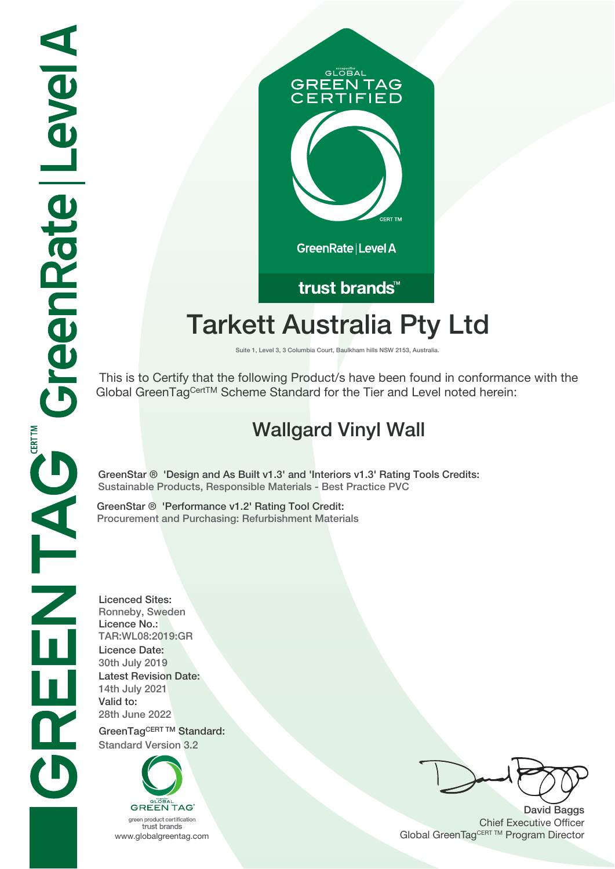

# trust brands<sup>™</sup>

## **Tarkett Australia Pty Ltd**

**Suite 1, Level 3, 3 Columbia Court, Baulkham hills NSW 2153, Australia.**

 This is to Certify that the following Product/s have been found in conformance with the Global GreenTagCertTM Scheme Standard for the Tier and Level noted herein:

### **Wallgard Vinyl Wall**

**GreenStar ® 'Design and As Built v1.**3**' and 'Interiors v1.**3**' Rating Tools Credits: Sustainable Products, Responsible Materials - Best Practice PVC**

**GreenStar ® 'Performance v1.2' Rating Tool Credit: Procurement and Purchasing: Refurbishment Materials**

**Licenced Sites: Ronneby, Sweden Licence No.: TAR:WL08:2019:GR Licence Date: 30th July 2019 Latest Revision Date: 14th July 2021 Valid to: 28th June 2022**

**GreenTagCERT TM Standard: Standard Version 3.2**



**David Baggs** Chief Executive Officer WWW.globalgreentag.com **Program Director** Channel Global GreenTagCERT TM Program Director